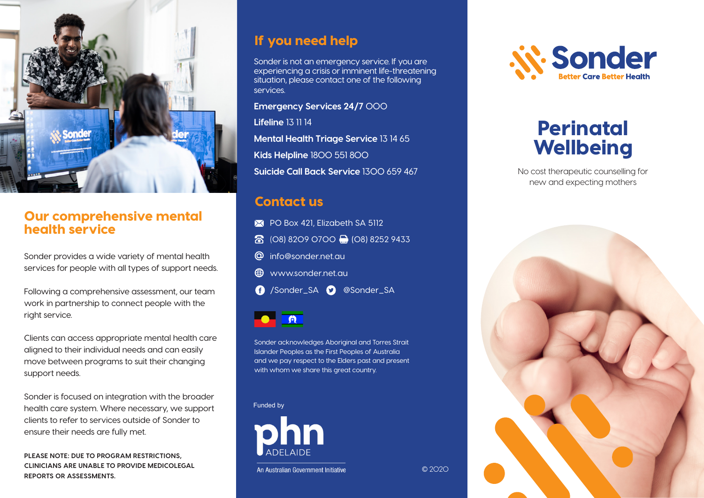

# Our comprehensive mental health service

Sonder provides a wide variety of mental health services for people with all types of support needs.

Following a comprehensive assessment, our team work in partnership to connect people with the right service.

Clients can access appropriate mental health care aligned to their individual needs and can easily move between programs to suit their changing support needs.

Sonder is focused on integration with the broader health care system. Where necessary, we support clients to refer to services outside of Sonder to ensure their needs are fully met.

**PLEASE NOTE: DUE TO PROGRAM RESTRICTIONS, CLINICIANS ARE UNABLE TO PROVIDE MEDICOLEGAL REPORTS OR ASSESSMENTS.**

# If you need help

Sonder is not an emergency service. If you are experiencing a crisis or imminent life-threatening situation, please contact one of the following services.

**Emergency Services 24/7** 000

**Lifeline** 13 11 14

**Mental Health Triage Service** 13 14 65

**Kids Helpline** 1800 551 800

**Suicide Call Back Service** 1300 659 467

### Contact us

- PO Box 421, Elizabeth SA 5112
- 8 (08) 8209 0700 (08) 8252 9433
- info@sonder.net.au
- **ED** www.sonder.net.au
- /Sonder\_SA @Sonder\_SA



Sonder acknowledges Aboriginal and Torres Strait Islander Peoples as the First Peoples of Australia and we pay respect to the Elders past and present with whom we share this great country.

© 2020

Funded by



An Australian Government Initiative

*N. Sonder* 

# Perinatal **Wellbeing**

No cost therapeutic counselling for new and expecting mothers